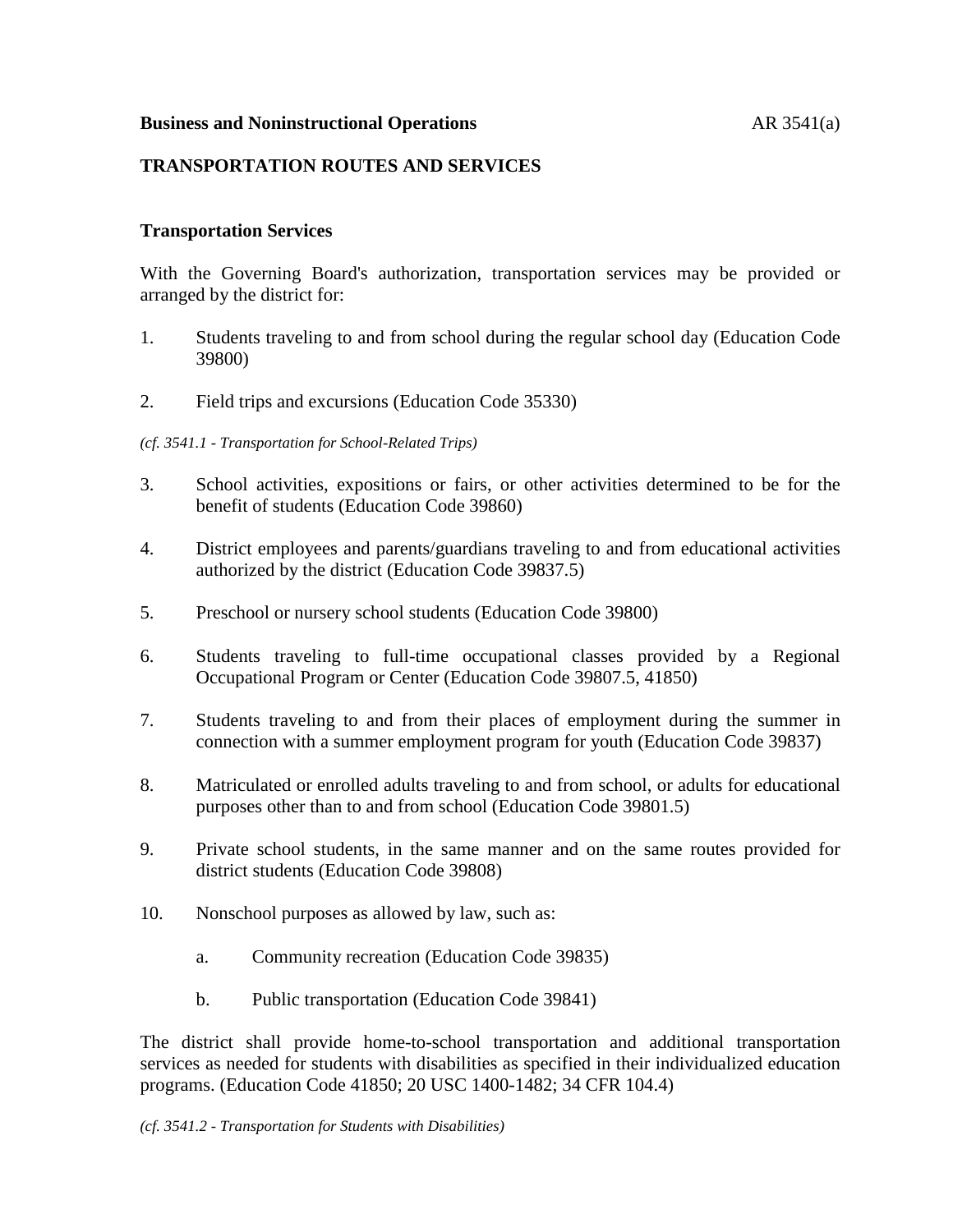## **Business and Noninstructional Operations AR** 3541(a)

# **TRANSPORTATION ROUTES AND SERVICES**

### **Transportation Services**

With the Governing Board's authorization, transportation services may be provided or arranged by the district for:

- 1. Students traveling to and from school during the regular school day (Education Code 39800)
- 2. Field trips and excursions (Education Code 35330)

#### *(cf. 3541.1 - Transportation for School-Related Trips)*

- 3. School activities, expositions or fairs, or other activities determined to be for the benefit of students (Education Code 39860)
- 4. District employees and parents/guardians traveling to and from educational activities authorized by the district (Education Code 39837.5)
- 5. Preschool or nursery school students (Education Code 39800)
- 6. Students traveling to full-time occupational classes provided by a Regional Occupational Program or Center (Education Code 39807.5, 41850)
- 7. Students traveling to and from their places of employment during the summer in connection with a summer employment program for youth (Education Code 39837)
- 8. Matriculated or enrolled adults traveling to and from school, or adults for educational purposes other than to and from school (Education Code 39801.5)
- 9. Private school students, in the same manner and on the same routes provided for district students (Education Code 39808)
- 10. Nonschool purposes as allowed by law, such as:
	- a. Community recreation (Education Code 39835)
	- b. Public transportation (Education Code 39841)

The district shall provide home-to-school transportation and additional transportation services as needed for students with disabilities as specified in their individualized education programs. (Education Code 41850; 20 USC 1400-1482; 34 CFR 104.4)